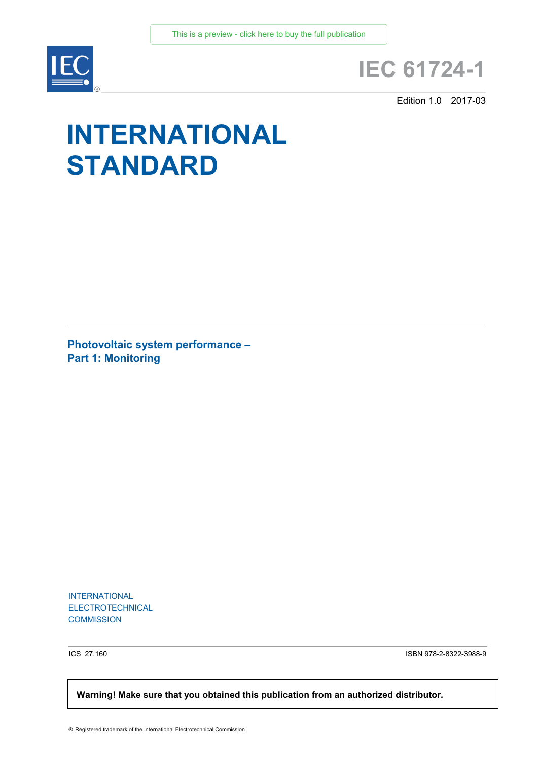

# **IEC 61724-1**

Edition 1.0 2017-03

# **INTERNATIONAL STANDARD**

**Photovoltaic system performance – Part 1: Monitoring**

INTERNATIONAL ELECTROTECHNICAL **COMMISSION** 

ICS 27.160 ISBN 978-2-8322-3988-9

 **Warning! Make sure that you obtained this publication from an authorized distributor.**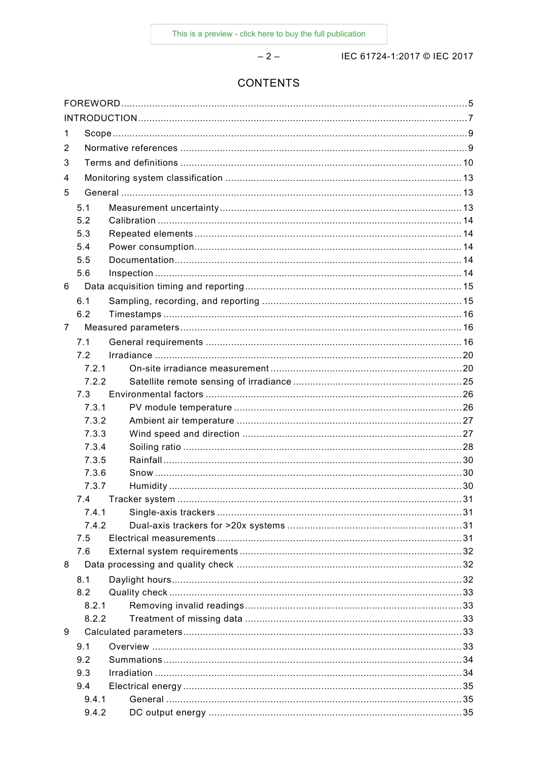$-2-$ 

IEC 61724-1:2017 © IEC 2017

# **CONTENTS**

| 1 |                |  |  |  |  |  |  |
|---|----------------|--|--|--|--|--|--|
| 2 |                |  |  |  |  |  |  |
| 3 |                |  |  |  |  |  |  |
| 4 |                |  |  |  |  |  |  |
| 5 |                |  |  |  |  |  |  |
|   | 5.1            |  |  |  |  |  |  |
|   | 5.2            |  |  |  |  |  |  |
|   | 5.3            |  |  |  |  |  |  |
|   | 5.4            |  |  |  |  |  |  |
|   | 5.5            |  |  |  |  |  |  |
|   | 5.6            |  |  |  |  |  |  |
| 6 |                |  |  |  |  |  |  |
|   | 6.1            |  |  |  |  |  |  |
|   | 6.2            |  |  |  |  |  |  |
| 7 |                |  |  |  |  |  |  |
|   | 7.1            |  |  |  |  |  |  |
|   | 7.2            |  |  |  |  |  |  |
|   | 7.2.1          |  |  |  |  |  |  |
|   | 7.2.2          |  |  |  |  |  |  |
|   | 7.3            |  |  |  |  |  |  |
|   | 7.3.1          |  |  |  |  |  |  |
|   | 7.3.2          |  |  |  |  |  |  |
|   | 7.3.3          |  |  |  |  |  |  |
|   | 7.3.4          |  |  |  |  |  |  |
|   | 7.3.5          |  |  |  |  |  |  |
|   | 7.3.6          |  |  |  |  |  |  |
|   | 7.3.7          |  |  |  |  |  |  |
|   | 7.4            |  |  |  |  |  |  |
|   | 7.4.1          |  |  |  |  |  |  |
|   | 7.4.2          |  |  |  |  |  |  |
|   | 7.5            |  |  |  |  |  |  |
| 8 | 7.6            |  |  |  |  |  |  |
|   |                |  |  |  |  |  |  |
|   | 8.1            |  |  |  |  |  |  |
|   | 8.2<br>8.2.1   |  |  |  |  |  |  |
|   | 8.2.2          |  |  |  |  |  |  |
|   |                |  |  |  |  |  |  |
| 9 |                |  |  |  |  |  |  |
|   | 9.1            |  |  |  |  |  |  |
|   | 9.2            |  |  |  |  |  |  |
|   | 9.3            |  |  |  |  |  |  |
|   | 9.4            |  |  |  |  |  |  |
|   | 9.4.1<br>9.4.2 |  |  |  |  |  |  |
|   |                |  |  |  |  |  |  |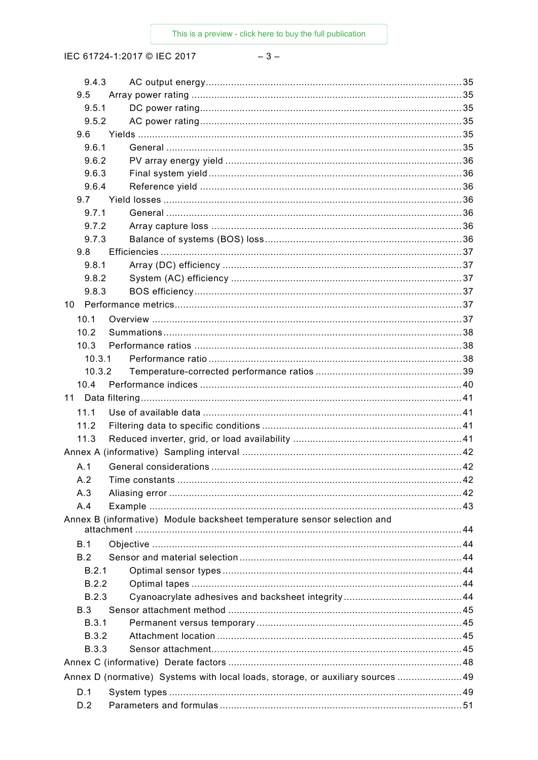IEC 61724-1:2017 © IEC 2017

| 9.4.3          |                                                                                |  |  |  |  |  |  |  |
|----------------|--------------------------------------------------------------------------------|--|--|--|--|--|--|--|
| 9.5            |                                                                                |  |  |  |  |  |  |  |
| 9.5.1          |                                                                                |  |  |  |  |  |  |  |
| 9.5.2          |                                                                                |  |  |  |  |  |  |  |
| 9.6            |                                                                                |  |  |  |  |  |  |  |
| 9.6.1          |                                                                                |  |  |  |  |  |  |  |
| 9.6.2          |                                                                                |  |  |  |  |  |  |  |
| 9.6.3          |                                                                                |  |  |  |  |  |  |  |
| 9.6.4          |                                                                                |  |  |  |  |  |  |  |
| 9.7            |                                                                                |  |  |  |  |  |  |  |
| 9.7.1          |                                                                                |  |  |  |  |  |  |  |
| 9.7.2          |                                                                                |  |  |  |  |  |  |  |
| 9.7.3          |                                                                                |  |  |  |  |  |  |  |
| 9.8            |                                                                                |  |  |  |  |  |  |  |
| 9.8.1          |                                                                                |  |  |  |  |  |  |  |
| 9.8.2          |                                                                                |  |  |  |  |  |  |  |
| 9.8.3          |                                                                                |  |  |  |  |  |  |  |
| 10             |                                                                                |  |  |  |  |  |  |  |
| 10.1           |                                                                                |  |  |  |  |  |  |  |
| 10.2           |                                                                                |  |  |  |  |  |  |  |
| 10.3           |                                                                                |  |  |  |  |  |  |  |
| 10.3.1         |                                                                                |  |  |  |  |  |  |  |
| 10.3.2         |                                                                                |  |  |  |  |  |  |  |
| 10.4           |                                                                                |  |  |  |  |  |  |  |
|                |                                                                                |  |  |  |  |  |  |  |
| 11.1           |                                                                                |  |  |  |  |  |  |  |
| 11.2           |                                                                                |  |  |  |  |  |  |  |
| 11.3           |                                                                                |  |  |  |  |  |  |  |
|                |                                                                                |  |  |  |  |  |  |  |
| A.1            |                                                                                |  |  |  |  |  |  |  |
|                |                                                                                |  |  |  |  |  |  |  |
| A.2<br>A.3     |                                                                                |  |  |  |  |  |  |  |
|                |                                                                                |  |  |  |  |  |  |  |
| A.4            |                                                                                |  |  |  |  |  |  |  |
|                | Annex B (informative) Module backsheet temperature sensor selection and        |  |  |  |  |  |  |  |
| B.1            |                                                                                |  |  |  |  |  |  |  |
| B.2            |                                                                                |  |  |  |  |  |  |  |
| B.2.1          |                                                                                |  |  |  |  |  |  |  |
| B.2.2          |                                                                                |  |  |  |  |  |  |  |
| <b>B.2.3</b>   |                                                                                |  |  |  |  |  |  |  |
| B.3            |                                                                                |  |  |  |  |  |  |  |
|                |                                                                                |  |  |  |  |  |  |  |
| B.3.1<br>B.3.2 |                                                                                |  |  |  |  |  |  |  |
|                |                                                                                |  |  |  |  |  |  |  |
| <b>B.3.3</b>   |                                                                                |  |  |  |  |  |  |  |
|                |                                                                                |  |  |  |  |  |  |  |
|                | Annex D (normative) Systems with local loads, storage, or auxiliary sources 49 |  |  |  |  |  |  |  |
| D.1            |                                                                                |  |  |  |  |  |  |  |
| D.2            |                                                                                |  |  |  |  |  |  |  |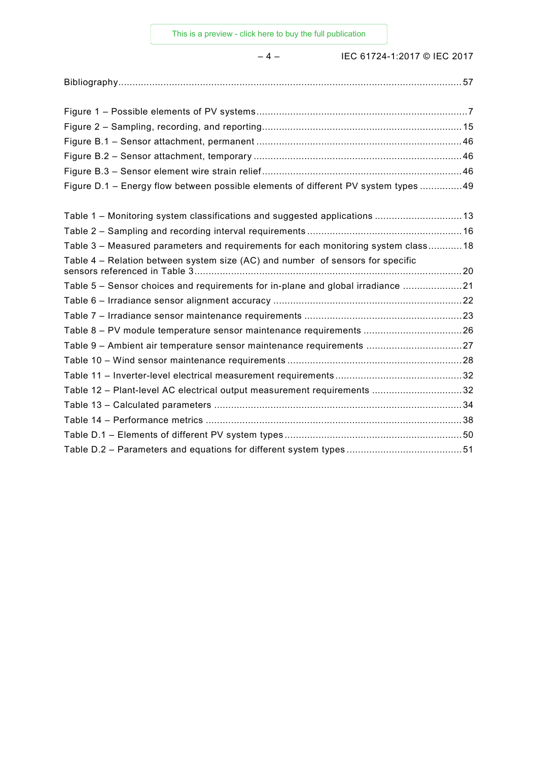– 4 – IEC 61724-1:2017 © IEC 2017

| Figure D.1 - Energy flow between possible elements of different PV system types 49 |  |
|------------------------------------------------------------------------------------|--|
| Table 1 - Monitoring system classifications and suggested applications  13         |  |
|                                                                                    |  |
| Table 3 - Measured parameters and requirements for each monitoring system class18  |  |
| Table 4 – Relation between system size (AC) and number of sensors for specific     |  |
| Table 5 – Sensor choices and requirements for in-plane and global irradiance 21    |  |
|                                                                                    |  |
|                                                                                    |  |
| Table 8 - PV module temperature sensor maintenance requirements 26                 |  |
| Table 9 - Ambient air temperature sensor maintenance requirements 27               |  |
|                                                                                    |  |
|                                                                                    |  |
| Table 12 - Plant-level AC electrical output measurement requirements 32            |  |
|                                                                                    |  |
|                                                                                    |  |
|                                                                                    |  |
|                                                                                    |  |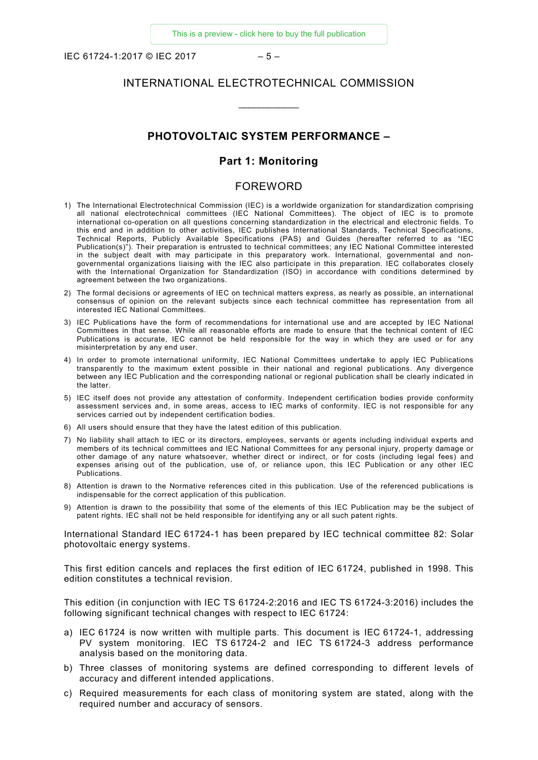IEC 61724-1:2017 © IEC 2017 – 5 –

#### INTERNATIONAL ELECTROTECHNICAL COMMISSION

\_\_\_\_\_\_\_\_\_\_\_\_

# **PHOTOVOLTAIC SYSTEM PERFORMANCE –**

#### **Part 1: Monitoring**

#### FOREWORD

- <span id="page-4-0"></span>1) The International Electrotechnical Commission (IEC) is a worldwide organization for standardization comprising all national electrotechnical committees (IEC National Committees). The object of IEC is to promote international co-operation on all questions concerning standardization in the electrical and electronic fields. To this end and in addition to other activities, IEC publishes International Standards, Technical Specifications, Technical Reports, Publicly Available Specifications (PAS) and Guides (hereafter referred to as "IEC Publication(s)"). Their preparation is entrusted to technical committees; any IEC National Committee interested in the subject dealt with may participate in this preparatory work. International, governmental and nongovernmental organizations liaising with the IEC also participate in this preparation. IEC collaborates closely with the International Organization for Standardization (ISO) in accordance with conditions determined by agreement between the two organizations.
- 2) The formal decisions or agreements of IEC on technical matters express, as nearly as possible, an international consensus of opinion on the relevant subjects since each technical committee has representation from all interested IEC National Committees.
- 3) IEC Publications have the form of recommendations for international use and are accepted by IEC National Committees in that sense. While all reasonable efforts are made to ensure that the technical content of IEC Publications is accurate, IEC cannot be held responsible for the way in which they are used or for any misinterpretation by any end user.
- 4) In order to promote international uniformity, IEC National Committees undertake to apply IEC Publications transparently to the maximum extent possible in their national and regional publications. Any divergence between any IEC Publication and the corresponding national or regional publication shall be clearly indicated in the latter.
- 5) IEC itself does not provide any attestation of conformity. Independent certification bodies provide conformity assessment services and, in some areas, access to IEC marks of conformity. IEC is not responsible for any services carried out by independent certification bodies.
- 6) All users should ensure that they have the latest edition of this publication.
- 7) No liability shall attach to IEC or its directors, employees, servants or agents including individual experts and members of its technical committees and IEC National Committees for any personal injury, property damage or other damage of any nature whatsoever, whether direct or indirect, or for costs (including legal fees) and expenses arising out of the publication, use of, or reliance upon, this IEC Publication or any other IEC Publications.
- 8) Attention is drawn to the Normative references cited in this publication. Use of the referenced publications is indispensable for the correct application of this publication.
- 9) Attention is drawn to the possibility that some of the elements of this IEC Publication may be the subject of patent rights. IEC shall not be held responsible for identifying any or all such patent rights.

International Standard IEC 61724-1 has been prepared by IEC technical committee 82: Solar photovoltaic energy systems.

This first edition cancels and replaces the first edition of IEC 61724, published in 1998. This edition constitutes a technical revision.

This edition (in conjunction with IEC TS 61724-2:2016 and IEC TS 61724-3:2016) includes the following significant technical changes with respect to IEC 61724:

- a) IEC 61724 is now written with multiple parts. This document is IEC 61724-1, addressing PV system monitoring. IEC TS 61724-2 and IEC TS 61724-3 address performance analysis based on the monitoring data.
- b) Three classes of monitoring systems are defined corresponding to different levels of accuracy and different intended applications.
- c) Required measurements for each class of monitoring system are stated, along with the required number and accuracy of sensors.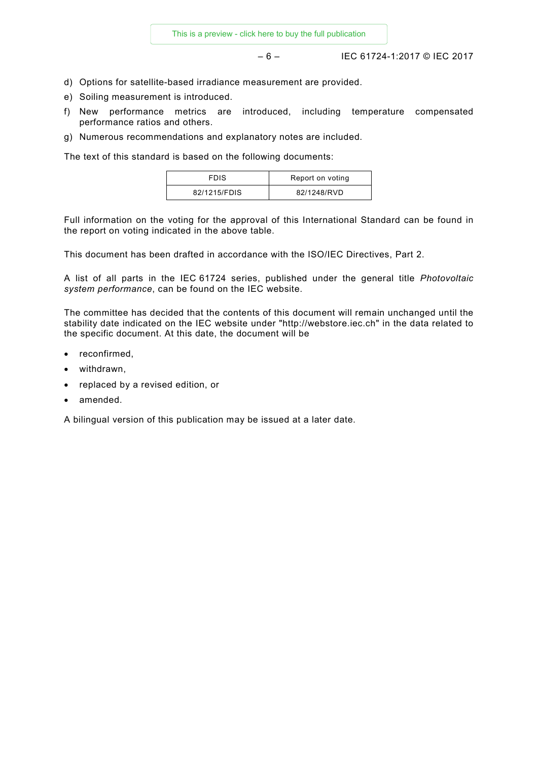[This is a preview - click here to buy the full publication](https://webstore.iec.ch/publication/33622&preview=1)

– 6 – IEC 61724-1:2017 © IEC 2017

- d) Options for satellite-based irradiance measurement are provided.
- e) Soiling measurement is introduced.
- f) New performance metrics are introduced, including temperature compensated performance ratios and others.
- g) Numerous recommendations and explanatory notes are included.

The text of this standard is based on the following documents:

| <b>FDIS</b>  | Report on voting |
|--------------|------------------|
| 82/1215/FDIS | 82/1248/RVD      |

Full information on the voting for the approval of this International Standard can be found in the report on voting indicated in the above table.

This document has been drafted in accordance with the ISO/IEC Directives, Part 2.

A list of all parts in the IEC 61724 series, published under the general title *Photovoltaic system performance*, can be found on the IEC website.

The committee has decided that the contents of this document will remain unchanged until the stability date indicated on the IEC website under "http://webstore.iec.ch" in the data related to the specific document. At this date, the document will be

- reconfirmed.
- withdrawn,
- replaced by a revised edition, or
- amended.

A bilingual version of this publication may be issued at a later date.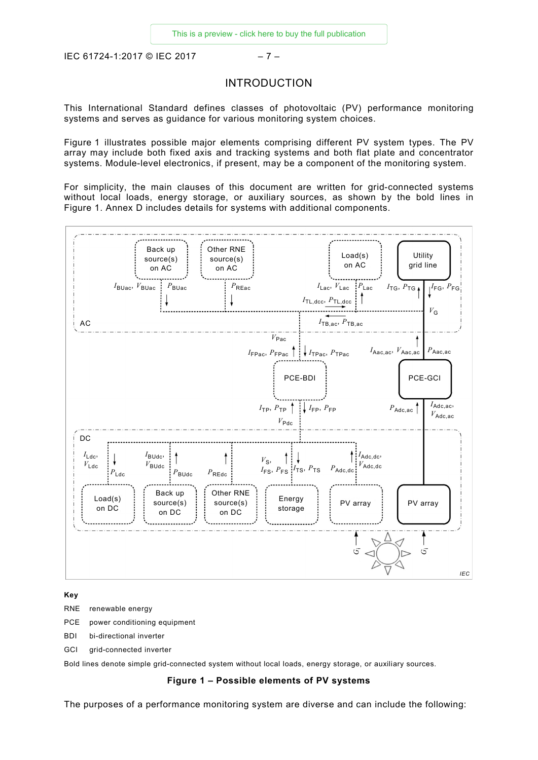<span id="page-6-0"></span>IEC 61724-1:2017 © IEC 2017 – 7 –

### INTRODUCTION

This International Standard defines classes of photovoltaic (PV) performance monitoring systems and serves as guidance for various monitoring system choices.

[Figure 1](#page-6-1) illustrates possible major elements comprising different PV system types. The PV array may include both fixed axis and tracking systems and both flat plate and concentrator systems. Module-level electronics, if present, may be a component of the monitoring system.

For simplicity, the main clauses of this document are written for grid-connected systems without local loads, energy storage, or auxiliary sources, as shown by the bold lines in [Figure 1.](#page-6-1) Annex D includes details for systems with additional components.



**Key**

RNE renewable energy

PCE power conditioning equipment

BDI bi-directional inverter

GCI grid-connected inverter

<span id="page-6-1"></span>Bold lines denote simple grid-connected system without local loads, energy storage, or auxiliary sources.

**Figure 1 – Possible elements of PV systems**

The purposes of a performance monitoring system are diverse and can include the following: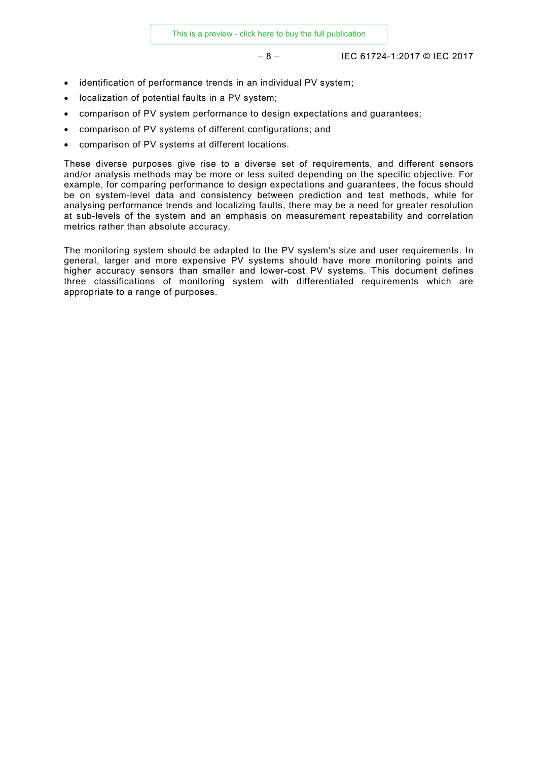– 8 – IEC 61724-1:2017 © IEC 2017

- identification of performance trends in an individual PV system;
- localization of potential faults in a PV system;
- comparison of PV system performance to design expectations and guarantees;
- comparison of PV systems of different configurations; and
- comparison of PV systems at different locations.

These diverse purposes give rise to a diverse set of requirements, and different sensors and/or analysis methods may be more or less suited depending on the specific objective. For example, for comparing performance to design expectations and guarantees, the focus should be on system-level data and consistency between prediction and test methods, while for analysing performance trends and localizing faults, there may be a need for greater resolution at sub-levels of the system and an emphasis on measurement repeatability and correlation metrics rather than absolute accuracy.

The monitoring system should be adapted to the PV system's size and user requirements. In general, larger and more expensive PV systems should have more monitoring points and higher accuracy sensors than smaller and lower-cost PV systems. This document defines three classifications of monitoring system with differentiated requirements which are appropriate to a range of purposes.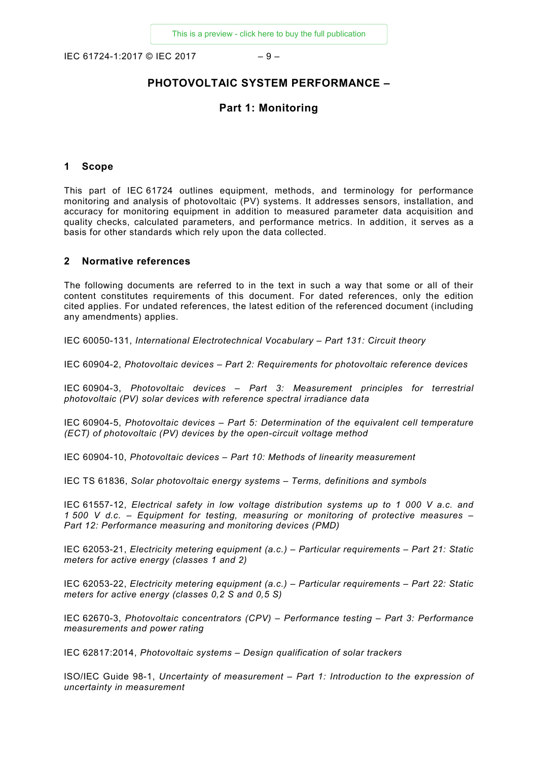IEC 61724-1:2017 © IEC 2017 – 9 –

# **PHOTOVOLTAIC SYSTEM PERFORMANCE –**

# **Part 1: Monitoring**

#### <span id="page-8-0"></span>**1 Scope**

This part of IEC 61724 outlines equipment, methods, and terminology for performance monitoring and analysis of photovoltaic (PV) systems. It addresses sensors, installation, and accuracy for monitoring equipment in addition to measured parameter data acquisition and quality checks, calculated parameters, and performance metrics. In addition, it serves as a basis for other standards which rely upon the data collected.

#### <span id="page-8-1"></span>**2 Normative references**

The following documents are referred to in the text in such a way that some or all of their content constitutes requirements of this document. For dated references, only the edition cited applies. For undated references, the latest edition of the referenced document (including any amendments) applies.

IEC 60050-131, *International Electrotechnical Vocabulary – Part 131: Circuit theory*

IEC 60904-2, *Photovoltaic devices – Part 2: Requirements for photovoltaic reference devices*

IEC 60904-3, *Photovoltaic devices – Part 3: Measurement principles for terrestrial photovoltaic (PV) solar devices with reference spectral irradiance data*

IEC 60904-5, *Photovoltaic devices – Part 5: Determination of the equivalent cell temperature (ECT) of photovoltaic (PV) devices by the open-circuit voltage method*

IEC 60904-10, *Photovoltaic devices – Part 10: Methods of linearity measurement*

IEC TS 61836, *Solar photovoltaic energy systems – Terms, definitions and symbols*

IEC 61557-12, *Electrical safety in low voltage distribution systems up to 1 000 V a.c. and 1 500 V d.c. – Equipment for testing, measuring or monitoring of protective measures – Part 12: Performance measuring and monitoring devices (PMD)*

IEC 62053-21, *Electricity metering equipment (a.c.) – Particular requirements – Part 21: Static meters for active energy (classes 1 and 2)*

IEC 62053-22, *Electricity metering equipment (a.c.) – Particular requirements – Part 22: Static meters for active energy (classes 0,2 S and 0,5 S)*

IEC 62670-3, *Photovoltaic* c*oncentrators (CPV) – Performance testing – Part 3: Performance measurements and power rating*

IEC 62817:2014, *Photovoltaic systems – Design qualification of solar trackers*

ISO/IEC Guide 98-1, *Uncertainty of measurement – Part 1: Introduction to the expression of uncertainty in measurement*